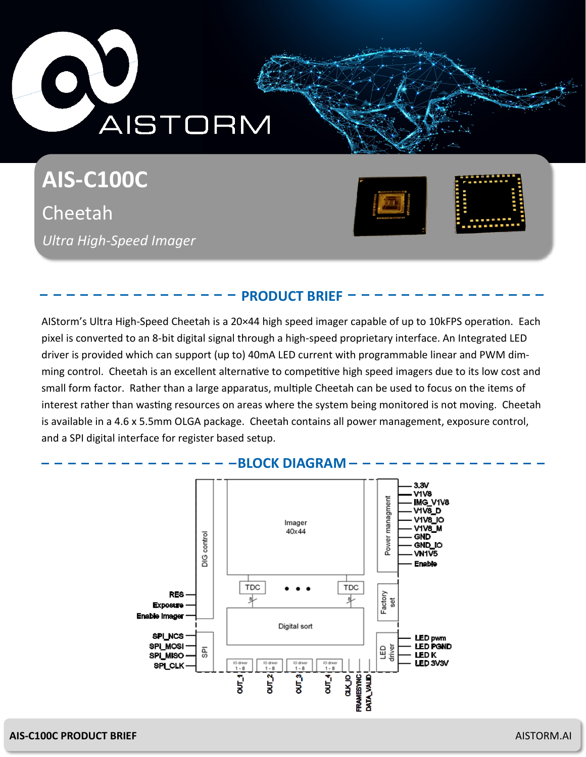

**AIS-C100C** Cheetah *Ultra High-Speed Imager* 



# **PRODUCT BRIEF**

AIStorm's Ultra High-Speed Cheetah is a 20×44 high speed imager capable of up to 10kFPS operation. Each pixel is converted to an 8-bit digital signal through a high-speed proprietary interface. An Integrated LED driver is provided which can support (up to) 40mA LED current with programmable linear and PWM dimming control. Cheetah is an excellent alternative to competitive high speed imagers due to its low cost and small form factor. Rather than a large apparatus, multiple Cheetah can be used to focus on the items of interest rather than wasting resources on areas where the system being monitored is not moving. Cheetah is available in a 4.6 x 5.5mm OLGA package. Cheetah contains all power management, exposure control, and a SPI digital interface for register based setup.



### **AIS-C100C PRODUCT BRIEF** AISTORM.AI